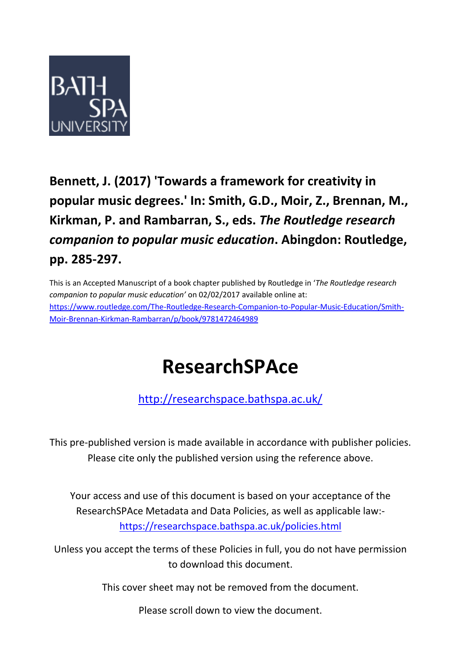

# **Bennett, J. (2017) 'Towards a framework for creativity in popular music degrees.' In: Smith, G.D., Moir, Z., Brennan, M., Kirkman, P. and Rambarran, S., eds.** *The Routledge research companion to popular music education***. Abingdon: Routledge, pp. 285-297.**

This is an Accepted Manuscript of a book chapter published by Routledge in '*The Routledge research companion to popular music education'* on 02/02/2017 available online at: [https://www.routledge.com/The-Routledge-Research-Companion-to-Popular-Music-Education/Smith-](https://www.routledge.com/The-Routledge-Research-Companion-to-Popular-Music-Education/Smith-Moir-Brennan-Kirkman-Rambarran/p/book/9781472464989)[Moir-Brennan-Kirkman-Rambarran/p/book/9781472464989](https://www.routledge.com/The-Routledge-Research-Companion-to-Popular-Music-Education/Smith-Moir-Brennan-Kirkman-Rambarran/p/book/9781472464989)

# **ResearchSPAce**

<http://researchspace.bathspa.ac.uk/>

This pre-published version is made available in accordance with publisher policies. Please cite only the published version using the reference above.

Your access and use of this document is based on your acceptance of the ResearchSPAce Metadata and Data Policies, as well as applicable law: https://researchspace.bathspa.ac.uk/policies.html

Unless you accept the terms of these Policies in full, you do not have permission to download this document.

This cover sheet may not be removed from the document.

Please scroll down to view the document.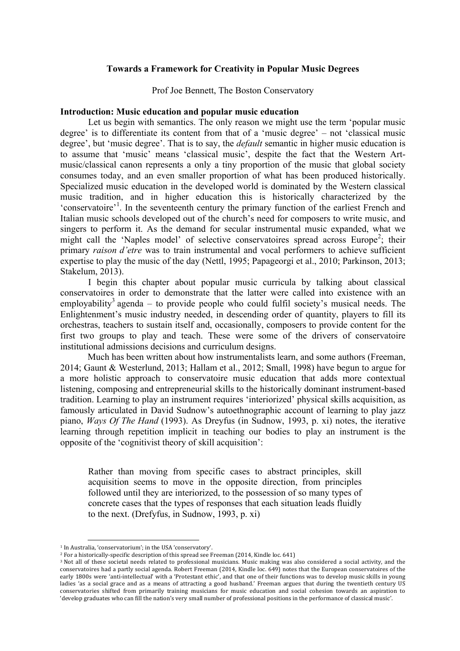# **Towards a Framework for Creativity in Popular Music Degrees**

Prof Joe Bennett, The Boston Conservatory

#### **Introduction: Music education and popular music education**

Let us begin with semantics. The only reason we might use the term 'popular music degree' is to differentiate its content from that of a 'music degree' – not 'classical music degree', but 'music degree'. That is to say, the *default* semantic in higher music education is to assume that 'music' means 'classical music', despite the fact that the Western Artmusic/classical canon represents a only a tiny proportion of the music that global society consumes today, and an even smaller proportion of what has been produced historically. Specialized music education in the developed world is dominated by the Western classical music tradition, and in higher education this is historically characterized by the 'conservatoire'<sup>1</sup>. In the seventeenth century the primary function of the earliest French and Italian music schools developed out of the church's need for composers to write music, and singers to perform it. As the demand for secular instrumental music expanded, what we might call the 'Naples model' of selective conservatoires spread across Europe<sup>2</sup>; their primary *raison d'etre* was to train instrumental and vocal performers to achieve sufficient expertise to play the music of the day (Nettl, 1995; Papageorgi et al., 2010; Parkinson, 2013; Stakelum, 2013).

I begin this chapter about popular music curricula by talking about classical conservatoires in order to demonstrate that the latter were called into existence with an employability<sup>3</sup> agenda – to provide people who could fulfil society's musical needs. The Enlightenment's music industry needed, in descending order of quantity, players to fill its orchestras, teachers to sustain itself and, occasionally, composers to provide content for the first two groups to play and teach. These were some of the drivers of conservatoire institutional admissions decisions and curriculum designs.

Much has been written about how instrumentalists learn, and some authors (Freeman, 2014; Gaunt & Westerlund, 2013; Hallam et al., 2012; Small, 1998) have begun to argue for a more holistic approach to conservatoire music education that adds more contextual listening, composing and entrepreneurial skills to the historically dominant instrument-based tradition. Learning to play an instrument requires 'interiorized' physical skills acquisition, as famously articulated in David Sudnow's autoethnographic account of learning to play jazz piano, *Ways Of The Hand* (1993). As Dreyfus (in Sudnow, 1993, p. xi) notes, the iterative learning through repetition implicit in teaching our bodies to play an instrument is the opposite of the 'cognitivist theory of skill acquisition':

Rather than moving from specific cases to abstract principles, skill acquisition seems to move in the opposite direction, from principles followed until they are interiorized, to the possession of so many types of concrete cases that the types of responses that each situation leads fluidly to the next. (Drefyfus, in Sudnow, 1993, p. xi)

 

<sup>&</sup>lt;sup>1</sup> In Australia, 'conservatorium': in the USA 'conservatory'.

 $2$  For a historically-specific description of this spread see Freeman (2014, Kindle loc. 641)

<sup>&</sup>lt;sup>3</sup> Not all of these societal needs related to professional musicians. Music making was also considered a social activity, and the conservatoires had a partly social agenda. Robert Freeman (2014, Kindle loc. 649) notes that the European conservatoires of the early 1800s were 'anti-intellectual' with a 'Protestant ethic', and that one of their functions was to develop music skills in young ladies 'as a social grace and as a means of attracting a good husband.' Freeman argues that during the twentieth century US conservatories shifted from primarily training musicians for music education and social cohesion towards an aspiration to 'develop graduates who can fill the nation's very small number of professional positions in the performance of classical music'.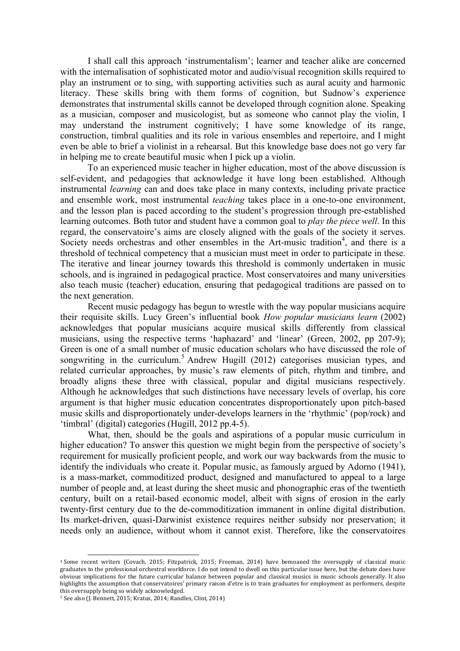I shall call this approach 'instrumentalism'; learner and teacher alike are concerned with the internalisation of sophisticated motor and audio/visual recognition skills required to play an instrument or to sing, with supporting activities such as aural acuity and harmonic literacy. These skills bring with them forms of cognition, but Sudnow's experience demonstrates that instrumental skills cannot be developed through cognition alone. Speaking as a musician, composer and musicologist, but as someone who cannot play the violin, I may understand the instrument cognitively; I have some knowledge of its range, construction, timbral qualities and its role in various ensembles and repertoire, and I might even be able to brief a violinist in a rehearsal. But this knowledge base does not go very far in helping me to create beautiful music when I pick up a violin.

To an experienced music teacher in higher education, most of the above discussion is self-evident, and pedagogies that acknowledge it have long been established. Although instrumental *learning* can and does take place in many contexts, including private practice and ensemble work, most instrumental *teaching* takes place in a one-to-one environment, and the lesson plan is paced according to the student's progression through pre-established learning outcomes. Both tutor and student have a common goal to *play the piece well*. In this regard, the conservatoire's aims are closely aligned with the goals of the society it serves. Society needs orchestras and other ensembles in the Art-music tradition<sup>4</sup>, and there is a threshold of technical competency that a musician must meet in order to participate in these. The iterative and linear journey towards this threshold is commonly undertaken in music schools, and is ingrained in pedagogical practice. Most conservatoires and many universities also teach music (teacher) education, ensuring that pedagogical traditions are passed on to the next generation.

Recent music pedagogy has begun to wrestle with the way popular musicians acquire their requisite skills. Lucy Green's influential book *How popular musicians learn* (2002) acknowledges that popular musicians acquire musical skills differently from classical musicians, using the respective terms 'haphazard' and 'linear' (Green, 2002, pp 207-9); Green is one of a small number of music education scholars who have discussed the role of songwriting in the curriculum.<sup>5</sup> Andrew Hugill (2012) categorises musician types, and related curricular approaches, by music's raw elements of pitch, rhythm and timbre, and broadly aligns these three with classical, popular and digital musicians respectively. Although he acknowledges that such distinctions have necessary levels of overlap, his core argument is that higher music education concentrates disproportionately upon pitch-based music skills and disproportionately under-develops learners in the 'rhythmic' (pop/rock) and 'timbral' (digital) categories (Hugill, 2012 pp.4-5).

What, then, should be the goals and aspirations of a popular music curriculum in higher education? To answer this question we might begin from the perspective of society's requirement for musically proficient people, and work our way backwards from the music to identify the individuals who create it. Popular music, as famously argued by Adorno (1941), is a mass-market, commoditized product, designed and manufactured to appeal to a large number of people and, at least during the sheet music and phonographic eras of the twentieth century, built on a retail-based economic model, albeit with signs of erosion in the early twenty-first century due to the de-commoditization immanent in online digital distribution. Its market-driven, quasi-Darwinist existence requires neither subsidy nor preservation; it needs only an audience, without whom it cannot exist. Therefore, like the conservatoires

 

<sup>&</sup>lt;sup>4</sup> Some recent writers (Covach, 2015; Fitzpatrick, 2015; Freeman, 2014) have bemoaned the oversupply of classical music graduates to the professional orchestral workforce. I do not intend to dwell on this particular issue here, but the debate does have obvious implications for the future curricular balance between popular and classical musics in music schools generally. It also highlights the assumption that conservatoires' primary raison d'etre is to train graduates for employment as performers, despite this oversupply being so widely acknowledged.

<sup>&</sup>lt;sup>5</sup> See also (J. Bennett, 2015; Kratus, 2014; Randles, Clint, 2014)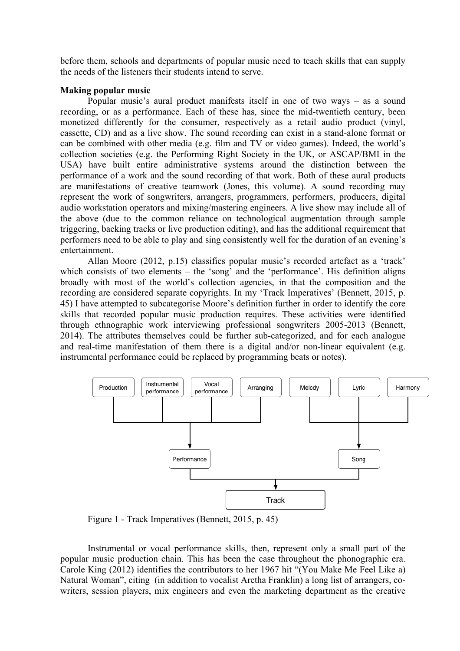before them, schools and departments of popular music need to teach skills that can supply the needs of the listeners their students intend to serve.

#### **Making popular music**

Popular music's aural product manifests itself in one of two ways – as a sound recording, or as a performance. Each of these has, since the mid-twentieth century, been monetized differently for the consumer, respectively as a retail audio product (vinyl, cassette, CD) and as a live show. The sound recording can exist in a stand-alone format or can be combined with other media (e.g. film and TV or video games). Indeed, the world's collection societies (e.g. the Performing Right Society in the UK, or ASCAP/BMI in the USA) have built entire administrative systems around the distinction between the performance of a work and the sound recording of that work. Both of these aural products are manifestations of creative teamwork (Jones, this volume). A sound recording may represent the work of songwriters, arrangers, programmers, performers, producers, digital audio workstation operators and mixing/mastering engineers. A live show may include all of the above (due to the common reliance on technological augmentation through sample triggering, backing tracks or live production editing), and has the additional requirement that performers need to be able to play and sing consistently well for the duration of an evening's entertainment.

Allan Moore (2012, p.15) classifies popular music's recorded artefact as a 'track' which consists of two elements – the 'song' and the 'performance'. His definition aligns broadly with most of the world's collection agencies, in that the composition and the recording are considered separate copyrights. In my 'Track Imperatives' (Bennett, 2015, p. 45) I have attempted to subcategorise Moore's definition further in order to identify the core skills that recorded popular music production requires. These activities were identified through ethnographic work interviewing professional songwriters 2005-2013 (Bennett, 2014). The attributes themselves could be further sub-categorized, and for each analogue and real-time manifestation of them there is a digital and/or non-linear equivalent (e.g. instrumental performance could be replaced by programming beats or notes).



Figure 1 - Track Imperatives (Bennett, 2015, p. 45)

Instrumental or vocal performance skills, then, represent only a small part of the popular music production chain. This has been the case throughout the phonographic era. Carole King (2012) identifies the contributors to her 1967 hit "(You Make Me Feel Like a) Natural Woman", citing (in addition to vocalist Aretha Franklin) a long list of arrangers, cowriters, session players, mix engineers and even the marketing department as the creative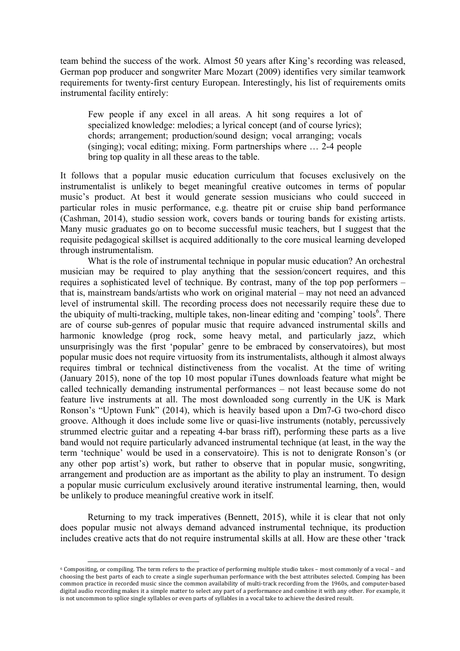team behind the success of the work. Almost 50 years after King's recording was released, German pop producer and songwriter Marc Mozart (2009) identifies very similar teamwork requirements for twenty-first century European. Interestingly, his list of requirements omits instrumental facility entirely:

Few people if any excel in all areas. A hit song requires a lot of specialized knowledge: melodies; a lyrical concept (and of course lyrics); chords; arrangement; production/sound design; vocal arranging; vocals (singing); vocal editing; mixing. Form partnerships where … 2-4 people bring top quality in all these areas to the table.

It follows that a popular music education curriculum that focuses exclusively on the instrumentalist is unlikely to beget meaningful creative outcomes in terms of popular music's product. At best it would generate session musicians who could succeed in particular roles in music performance, e.g. theatre pit or cruise ship band performance (Cashman, 2014), studio session work, covers bands or touring bands for existing artists. Many music graduates go on to become successful music teachers, but I suggest that the requisite pedagogical skillset is acquired additionally to the core musical learning developed through instrumentalism.

What is the role of instrumental technique in popular music education? An orchestral musician may be required to play anything that the session/concert requires, and this requires a sophisticated level of technique. By contrast, many of the top pop performers – that is, mainstream bands/artists who work on original material – may not need an advanced level of instrumental skill. The recording process does not necessarily require these due to the ubiquity of multi-tracking, multiple takes, non-linear editing and 'comping' tools<sup>6</sup>. There are of course sub-genres of popular music that require advanced instrumental skills and harmonic knowledge (prog rock, some heavy metal, and particularly jazz, which unsurprisingly was the first 'popular' genre to be embraced by conservatoires), but most popular music does not require virtuosity from its instrumentalists, although it almost always requires timbral or technical distinctiveness from the vocalist. At the time of writing (January 2015), none of the top 10 most popular iTunes downloads feature what might be called technically demanding instrumental performances – not least because some do not feature live instruments at all. The most downloaded song currently in the UK is Mark Ronson's "Uptown Funk" (2014), which is heavily based upon a Dm7-G two-chord disco groove. Although it does include some live or quasi-live instruments (notably, percussively strummed electric guitar and a repeating 4-bar brass riff), performing these parts as a live band would not require particularly advanced instrumental technique (at least, in the way the term 'technique' would be used in a conservatoire). This is not to denigrate Ronson's (or any other pop artist's) work, but rather to observe that in popular music, songwriting, arrangement and production are as important as the ability to play an instrument. To design a popular music curriculum exclusively around iterative instrumental learning, then, would be unlikely to produce meaningful creative work in itself.

Returning to my track imperatives (Bennett, 2015), while it is clear that not only does popular music not always demand advanced instrumental technique, its production includes creative acts that do not require instrumental skills at all. How are these other 'track

<u> 1989 - Johann Stein, fransk politik (d. 1989)</u>

<sup>6</sup> Compositing, or compiling. The term refers to the practice of performing multiple studio takes - most commonly of a vocal - and choosing the best parts of each to create a single superhuman performance with the best attributes selected. Comping has been common practice in recorded music since the common availability of multi-track recording from the 1960s, and computer-based digital audio recording makes it a simple matter to select any part of a performance and combine it with any other. For example, it is not uncommon to splice single syllables or even parts of syllables in a vocal take to achieve the desired result.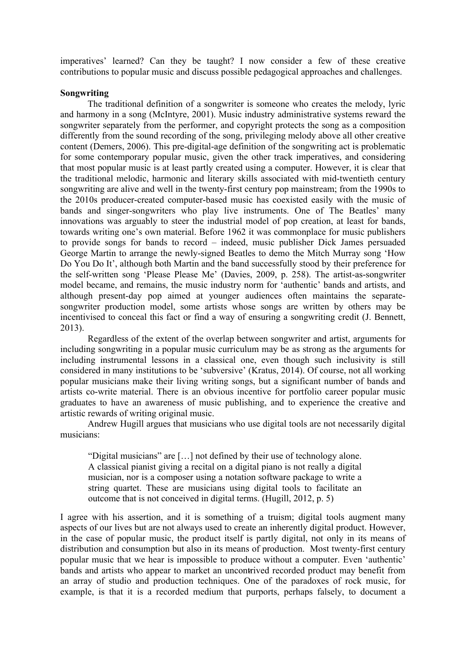imperatives' learned? Can they be taught? I now consider a few of these creative contributions to popular music and discuss possible pedagogical approaches and challenges.

### **Songwriting**

The traditional definition of a songwriter is someone who creates the melody, lyric and harmony in a song (McIntyre, 2001). Music industry administrative systems reward the songwriter separately from the performer, and copyright protects the song as a composition differently from the sound recording of the song, privileging melody above all other creative content (Demers, 2006). This pre-digital-age definition of the songwriting act is problematic for some contemporary popular music, given the other track imperatives, and considering that most popular music is at least partly created using a computer. However, it is clear that the traditional melodic, harmonic and literary skills associated with mid-twentieth century songwriting are alive and well in the twenty-first century pop mainstream; from the 1990s to the 2010s producer-created computer-based music has coexisted easily with the music of bands and singer-songwriters who play live instruments. One of The Beatles' many innovations was arguably to steer the industrial model of pop creation, at least for bands, towards writing one's own material. Before 1962 it was commonplace for music publishers to provide songs for bands to record – indeed, music publisher Dick James persuaded George Martin to arrange the newly-signed Beatles to demo the Mitch Murray song 'How Do You Do It', although both Martin and the band successfully stood by their preference for the self-written song 'Please Please Me' (Davies, 2009, p. 258). The artist-as-songwriter model became, and remains, the music industry norm for 'authentic' bands and artists, and although present-day pop aimed at younger audiences often maintains the separatesongwriter production model, some artists whose songs are written by others may be incentivised to conceal this fact or find a way of ensuring a songwriting credit (J. Bennett, 2013).

Regardless of the extent of the overlap between songwriter and artist, arguments for including songwriting in a popular music curriculum may be as strong as the arguments for including instrumental lessons in a classical one, even though such inclusivity is still considered in many institutions to be 'subversive' (Kratus, 2014). Of course, not all working popular musicians make their living writing songs, but a significant number of bands and artists co-write material. There is an obvious incentive for portfolio career popular music graduates to have an awareness of music publishing, and to experience the creative and artistic rewards of writing original music.

Andrew Hugill argues that musicians who use digital tools are not necessarily digital musicians:

"Digital musicians" are […] not defined by their use of technology alone. A classical pianist giving a recital on a digital piano is not really a digital musician, nor is a composer using a notation software package to write a string quartet. These are musicians using digital tools to facilitate an outcome that is not conceived in digital terms. (Hugill, 2012, p. 5)

I agree with his assertion, and it is something of a truism; digital tools augment many aspects of our lives but are not always used to create an inherently digital product. However, in the case of popular music, the product itself is partly digital, not only in its means of distribution and consumption but also in its means of production. Most twenty-first century popular music that we hear is impossible to produce without a computer. Even 'authentic' bands and artists who appear to market an uncontrived recorded product may benefit from an array of studio and production techniques. One of the paradoxes of rock music, for example, is that it is a recorded medium that purports, perhaps falsely, to document a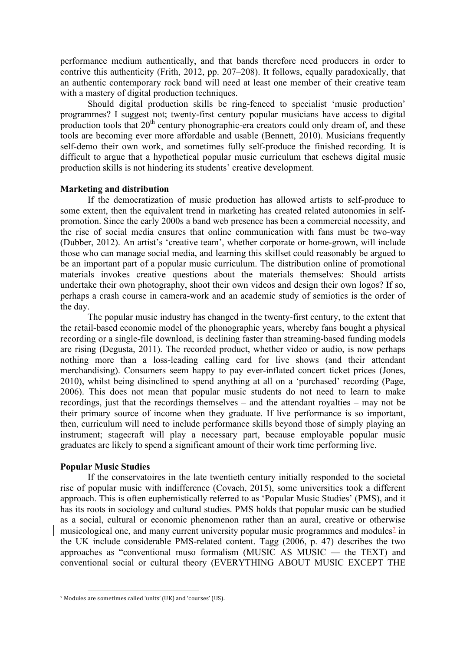performance medium authentically, and that bands therefore need producers in order to contrive this authenticity (Frith, 2012, pp. 207–208). It follows, equally paradoxically, that an authentic contemporary rock band will need at least one member of their creative team with a mastery of digital production techniques.

Should digital production skills be ring-fenced to specialist 'music production' programmes? I suggest not; twenty-first century popular musicians have access to digital production tools that  $20<sup>th</sup>$  century phonographic-era creators could only dream of, and these tools are becoming ever more affordable and usable (Bennett, 2010). Musicians frequently self-demo their own work, and sometimes fully self-produce the finished recording. It is difficult to argue that a hypothetical popular music curriculum that eschews digital music production skills is not hindering its students' creative development.

#### **Marketing and distribution**

If the democratization of music production has allowed artists to self-produce to some extent, then the equivalent trend in marketing has created related autonomies in selfpromotion. Since the early 2000s a band web presence has been a commercial necessity, and the rise of social media ensures that online communication with fans must be two-way (Dubber, 2012). An artist's 'creative team', whether corporate or home-grown, will include those who can manage social media, and learning this skillset could reasonably be argued to be an important part of a popular music curriculum. The distribution online of promotional materials invokes creative questions about the materials themselves: Should artists undertake their own photography, shoot their own videos and design their own logos? If so, perhaps a crash course in camera-work and an academic study of semiotics is the order of the day.

The popular music industry has changed in the twenty-first century, to the extent that the retail-based economic model of the phonographic years, whereby fans bought a physical recording or a single-file download, is declining faster than streaming-based funding models are rising (Degusta, 2011). The recorded product, whether video or audio, is now perhaps nothing more than a loss-leading calling card for live shows (and their attendant merchandising). Consumers seem happy to pay ever-inflated concert ticket prices (Jones, 2010), whilst being disinclined to spend anything at all on a 'purchased' recording (Page, 2006). This does not mean that popular music students do not need to learn to make recordings, just that the recordings themselves – and the attendant royalties – may not be their primary source of income when they graduate. If live performance is so important, then, curriculum will need to include performance skills beyond those of simply playing an instrument; stagecraft will play a necessary part, because employable popular music graduates are likely to spend a significant amount of their work time performing live.

#### **Popular Music Studies**

If the conservatoires in the late twentieth century initially responded to the societal rise of popular music with indifference (Covach, 2015), some universities took a different approach. This is often euphemistically referred to as 'Popular Music Studies' (PMS), and it has its roots in sociology and cultural studies. PMS holds that popular music can be studied as a social, cultural or economic phenomenon rather than an aural, creative or otherwise musicological one, and many current university popular music programmes and modules<sup> $\frac{7}{2}$  in</sup> the UK include considerable PMS-related content. Tagg (2006, p. 47) describes the two approaches as "conventional muso formalism (MUSIC AS MUSIC — the TEXT) and conventional social or cultural theory (EVERYTHING ABOUT MUSIC EXCEPT THE

 <sup>7</sup> Modules are sometimes called 'units' (UK) and 'courses' (US).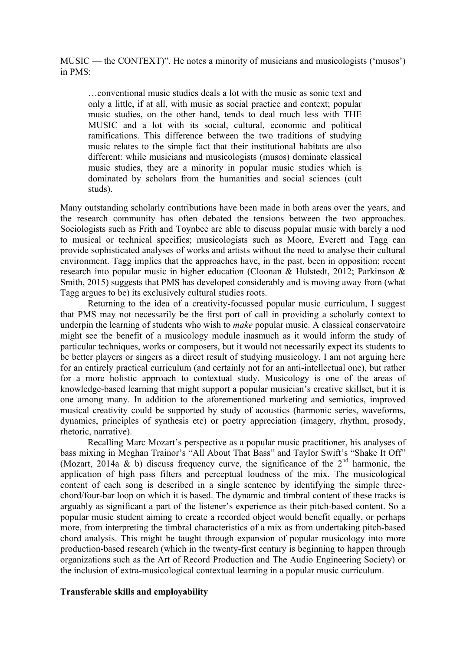MUSIC — the CONTEXT)". He notes a minority of musicians and musicologists ('musos') in PMS:

…conventional music studies deals a lot with the music as sonic text and only a little, if at all, with music as social practice and context; popular music studies, on the other hand, tends to deal much less with THE MUSIC and a lot with its social, cultural, economic and political ramifications. This difference between the two traditions of studying music relates to the simple fact that their institutional habitats are also different: while musicians and musicologists (musos) dominate classical music studies, they are a minority in popular music studies which is dominated by scholars from the humanities and social sciences (cult studs).

Many outstanding scholarly contributions have been made in both areas over the years, and the research community has often debated the tensions between the two approaches. Sociologists such as Frith and Toynbee are able to discuss popular music with barely a nod to musical or technical specifics; musicologists such as Moore, Everett and Tagg can provide sophisticated analyses of works and artists without the need to analyse their cultural environment. Tagg implies that the approaches have, in the past, been in opposition; recent research into popular music in higher education (Cloonan & Hulstedt, 2012; Parkinson & Smith, 2015) suggests that PMS has developed considerably and is moving away from (what Tagg argues to be) its exclusively cultural studies roots.

Returning to the idea of a creativity-focussed popular music curriculum, I suggest that PMS may not necessarily be the first port of call in providing a scholarly context to underpin the learning of students who wish to *make* popular music. A classical conservatoire might see the benefit of a musicology module inasmuch as it would inform the study of particular techniques, works or composers, but it would not necessarily expect its students to be better players or singers as a direct result of studying musicology. I am not arguing here for an entirely practical curriculum (and certainly not for an anti-intellectual one), but rather for a more holistic approach to contextual study. Musicology is one of the areas of knowledge-based learning that might support a popular musician's creative skillset, but it is one among many. In addition to the aforementioned marketing and semiotics, improved musical creativity could be supported by study of acoustics (harmonic series, waveforms, dynamics, principles of synthesis etc) or poetry appreciation (imagery, rhythm, prosody, rhetoric, narrative).

Recalling Marc Mozart's perspective as a popular music practitioner, his analyses of bass mixing in Meghan Trainor's "All About That Bass" and Taylor Swift's "Shake It Off" (Mozart, 2014a & b) discuss frequency curve, the significance of the  $2^{nd}$  harmonic, the application of high pass filters and perceptual loudness of the mix. The musicological content of each song is described in a single sentence by identifying the simple threechord/four-bar loop on which it is based. The dynamic and timbral content of these tracks is arguably as significant a part of the listener's experience as their pitch-based content. So a popular music student aiming to create a recorded object would benefit equally, or perhaps more, from interpreting the timbral characteristics of a mix as from undertaking pitch-based chord analysis. This might be taught through expansion of popular musicology into more production-based research (which in the twenty-first century is beginning to happen through organizations such as the Art of Record Production and The Audio Engineering Society) or the inclusion of extra-musicological contextual learning in a popular music curriculum.

## **Transferable skills and employability**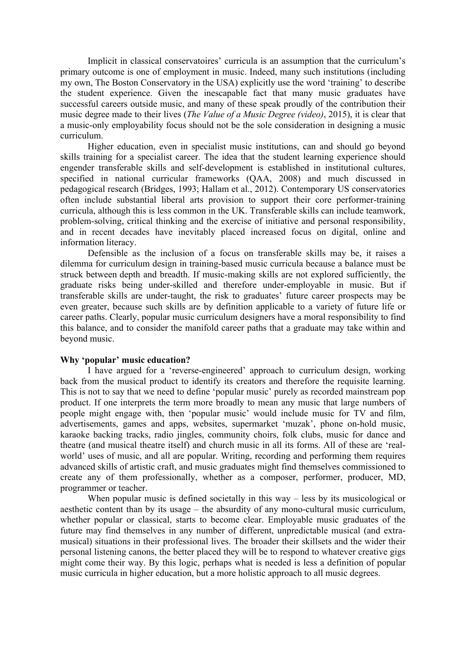Implicit in classical conservatoires' curricula is an assumption that the curriculum's primary outcome is one of employment in music. Indeed, many such institutions (including my own, The Boston Conservatory in the USA) explicitly use the word 'training' to describe the student experience. Given the inescapable fact that many music graduates have successful careers outside music, and many of these speak proudly of the contribution their music degree made to their lives (*The Value of a Music Degree (video)*, 2015), it is clear that a music-only employability focus should not be the sole consideration in designing a music curriculum.

Higher education, even in specialist music institutions, can and should go beyond skills training for a specialist career. The idea that the student learning experience should engender transferable skills and self-development is established in institutional cultures, specified in national curricular frameworks (QAA, 2008) and much discussed in pedagogical research (Bridges, 1993; Hallam et al., 2012). Contemporary US conservatories often include substantial liberal arts provision to support their core performer-training curricula, although this is less common in the UK. Transferable skills can include teamwork, problem-solving, critical thinking and the exercise of initiative and personal responsibility, and in recent decades have inevitably placed increased focus on digital, online and information literacy.

Defensible as the inclusion of a focus on transferable skills may be, it raises a dilemma for curriculum design in training-based music curricula because a balance must be struck between depth and breadth. If music-making skills are not explored sufficiently, the graduate risks being under-skilled and therefore under-employable in music. But if transferable skills are under-taught, the risk to graduates' future career prospects may be even greater, because such skills are by definition applicable to a variety of future life or career paths. Clearly, popular music curriculum designers have a moral responsibility to find this balance, and to consider the manifold career paths that a graduate may take within and beyond music.

## **Why 'popular' music education?**

I have argued for a 'reverse-engineered' approach to curriculum design, working back from the musical product to identify its creators and therefore the requisite learning. This is not to say that we need to define 'popular music' purely as recorded mainstream pop product. If one interprets the term more broadly to mean any music that large numbers of people might engage with, then 'popular music' would include music for TV and film, advertisements, games and apps, websites, supermarket 'muzak', phone on-hold music, karaoke backing tracks, radio jingles, community choirs, folk clubs, music for dance and theatre (and musical theatre itself) and church music in all its forms. All of these are 'realworld' uses of music, and all are popular. Writing, recording and performing them requires advanced skills of artistic craft, and music graduates might find themselves commissioned to create any of them professionally, whether as a composer, performer, producer, MD, programmer or teacher.

When popular music is defined societally in this way – less by its musicological or aesthetic content than by its usage – the absurdity of any mono-cultural music curriculum, whether popular or classical, starts to become clear. Employable music graduates of the future may find themselves in any number of different, unpredictable musical (and extramusical) situations in their professional lives. The broader their skillsets and the wider their personal listening canons, the better placed they will be to respond to whatever creative gigs might come their way. By this logic, perhaps what is needed is less a definition of popular music curricula in higher education, but a more holistic approach to all music degrees.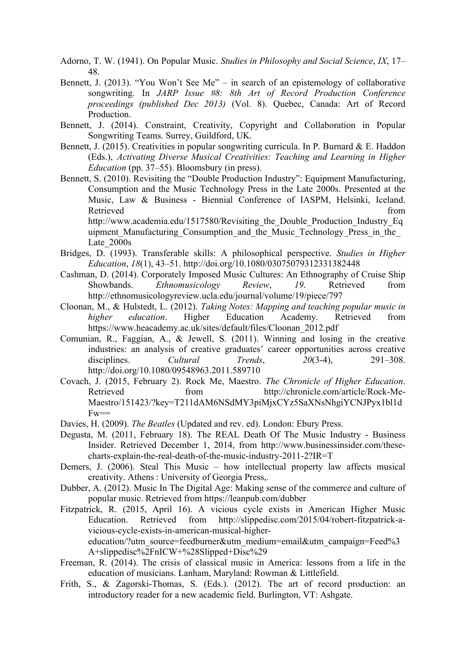- Adorno, T. W. (1941). On Popular Music. *Studies in Philosophy and Social Science*, *IX*, 17– 48.
- Bennett, J. (2013). "You Won't See Me" in search of an epistemology of collaborative songwriting. In *JARP Issue #8: 8th Art of Record Production Conference proceedings (published Dec 2013)* (Vol. 8). Quebec, Canada: Art of Record Production.
- Bennett, J. (2014). Constraint, Creativity, Copyright and Collaboration in Popular Songwriting Teams. Surrey, Guildford, UK.
- Bennett, J. (2015). Creativities in popular songwriting curricula. In P. Burnard & E. Haddon (Eds.), *Activating Diverse Musical Creativities: Teaching and Learning in Higher Education* (pp. 37–55). Bloomsbury (in press).
- Bennett, S. (2010). Revisiting the "Double Production Industry": Equipment Manufacturing, Consumption and the Music Technology Press in the Late 2000s. Presented at the Music, Law & Business - Biennial Conference of IASPM, Helsinki, Iceland. Retrieved from the state of the state of the state of the state of the state of the state of the state of the state of the state of the state of the state of the state of the state of the state of the state of the state of

http://www.academia.edu/1517580/Revisiting the Double Production Industry Eq uipment Manufacturing Consumption and the Music Technology Press in the Late $2000s$ 

- Bridges, D. (1993). Transferable skills: A philosophical perspective. *Studies in Higher Education*, *18*(1), 43–51. http://doi.org/10.1080/03075079312331382448
- Cashman, D. (2014). Corporately Imposed Music Cultures: An Ethnography of Cruise Ship Showbands. *Ethnomusicology Review*, *19*. Retrieved from http://ethnomusicologyreview.ucla.edu/journal/volume/19/piece/797
- Cloonan, M., & Hulstedt, L. (2012). *Taking Notes: Mapping and teaching popular music in higher education*. Higher Education Academy. Retrieved from https://www.heacademy.ac.uk/sites/default/files/Cloonan\_2012.pdf
- Comunian, R., Faggian, A., & Jewell, S. (2011). Winning and losing in the creative industries: an analysis of creative graduates' career opportunities across creative disciplines. *Cultural Trends*, *20*(3-4), 291–308. http://doi.org/10.1080/09548963.2011.589710
- Covach, J. (2015, February 2). Rock Me, Maestro. *The Chronicle of Higher Education*. Retrieved from http://chronicle.com/article/Rock-Me-Maestro/151423/?key=T211dAM6NSdMY3piMjxCYz5SaXNsNhgiYCNJPyx1bl1d  $Fw ==$
- Davies, H. (2009). *The Beatles* (Updated and rev. ed). London: Ebury Press.
- Degusta, M. (2011, February 18). The REAL Death Of The Music Industry Business Insider. Retrieved December 1, 2014, from http://www.businessinsider.com/thesecharts-explain-the-real-death-of-the-music-industry-2011-2?IR=T
- Demers, J. (2006). Steal This Music how intellectual property law affects musical creativity. Athens : University of Georgia Press,.
- Dubber, A. (2012). Music In The Digital Age: Making sense of the commerce and culture of popular music. Retrieved from https://leanpub.com/dubber
- Fitzpatrick, R. (2015, April 16). A vicious cycle exists in American Higher Music Education. Retrieved from http://slippedisc.com/2015/04/robert-fitzpatrick-avicious-cycle-exists-in-american-musical-highereducation/?utm\_source=feedburner&utm\_medium=email&utm\_campaign=Feed%3 A+slippedisc%2FnICW+%28Slipped+Disc%29
- Freeman, R. (2014). The crisis of classical music in America: lessons from a life in the education of musicians. Lanham, Maryland: Rowman & Littlefield.
- Frith, S., & Zagorski-Thomas, S. (Eds.). (2012). The art of record production: an introductory reader for a new academic field. Burlington, VT: Ashgate.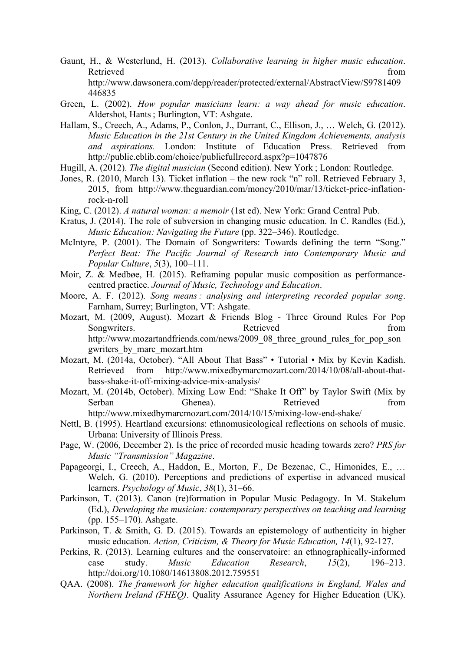- Gaunt, H., & Westerlund, H. (2013). *Collaborative learning in higher music education*. Retrieved from the state of the state of the state of the state of the state of the state of the state of the state of the state of the state of the state of the state of the state of the state of the state of the state of http://www.dawsonera.com/depp/reader/protected/external/AbstractView/S9781409 446835
- Green, L. (2002). *How popular musicians learn: a way ahead for music education*. Aldershot, Hants ; Burlington, VT: Ashgate.
- Hallam, S., Creech, A., Adams, P., Conlon, J., Durrant, C., Ellison, J., … Welch, G. (2012). *Music Education in the 21st Century in the United Kingdom Achievements, analysis and aspirations.* London: Institute of Education Press. Retrieved from http://public.eblib.com/choice/publicfullrecord.aspx?p=1047876
- Hugill, A. (2012). *The digital musician* (Second edition). New York ; London: Routledge.
- Jones, R. (2010, March 13). Ticket inflation the new rock "n" roll. Retrieved February 3, 2015, from http://www.theguardian.com/money/2010/mar/13/ticket-price-inflationrock-n-roll
- King, C. (2012). *A natural woman: a memoir* (1st ed). New York: Grand Central Pub.
- Kratus, J. (2014). The role of subversion in changing music education. In C. Randles (Ed.), *Music Education: Navigating the Future* (pp. 322–346). Routledge.
- McIntyre, P. (2001). The Domain of Songwriters: Towards defining the term "Song." *Perfect Beat: The Pacific Journal of Research into Contemporary Music and Popular Culture*, *5*(3), 100–111.
- Moir, Z. & Medbøe, H. (2015). Reframing popular music composition as performancecentred practice. *Journal of Music, Technology and Education*.
- Moore, A. F. (2012). *Song means : analysing and interpreting recorded popular song*. Farnham, Surrey; Burlington, VT: Ashgate.
- Mozart, M. (2009, August). Mozart & Friends Blog Three Ground Rules For Pop Songwriters. Retrieved from Retrieved from the settlement of the settlement of the settlement of the settlement of the settlement of the settlement of the settlement of the settlement of the settlement of the settlement of http://www.mozartandfriends.com/news/2009\_08\_three\_ground\_rules\_for\_pop\_son gwriters\_by\_marc\_mozart.htm
- Mozart, M. (2014a, October). "All About That Bass" Tutorial Mix by Kevin Kadish. Retrieved from http://www.mixedbymarcmozart.com/2014/10/08/all-about-thatbass-shake-it-off-mixing-advice-mix-analysis/
- Mozart, M. (2014b, October). Mixing Low End: "Shake It Off" by Taylor Swift (Mix by Serban Ghenea). Retrieved from http://www.mixedbymarcmozart.com/2014/10/15/mixing-low-end-shake/
- Nettl, B. (1995). Heartland excursions: ethnomusicological reflections on schools of music. Urbana: University of Illinois Press.
- Page, W. (2006, December 2). Is the price of recorded music heading towards zero? *PRS for Music "Transmission" Magazine*.
- Papageorgi, I., Creech, A., Haddon, E., Morton, F., De Bezenac, C., Himonides, E., … Welch, G. (2010). Perceptions and predictions of expertise in advanced musical learners. *Psychology of Music*, *38*(1), 31–66.
- Parkinson, T. (2013). Canon (re)formation in Popular Music Pedagogy. In M. Stakelum (Ed.), *Developing the musician: contemporary perspectives on teaching and learning* (pp. 155–170). Ashgate.
- Parkinson, T. & Smith, G. D. (2015). Towards an epistemology of authenticity in higher music education. *Action, Criticism, & Theory for Music Education, 14*(1), 92-127.
- Perkins, R. (2013). Learning cultures and the conservatoire: an ethnographically-informed case study. *Music Education Research*, *15*(2), 196–213. http://doi.org/10.1080/14613808.2012.759551
- QAA. (2008). *The framework for higher education qualifications in England, Wales and Northern Ireland (FHEQ)*. Quality Assurance Agency for Higher Education (UK).